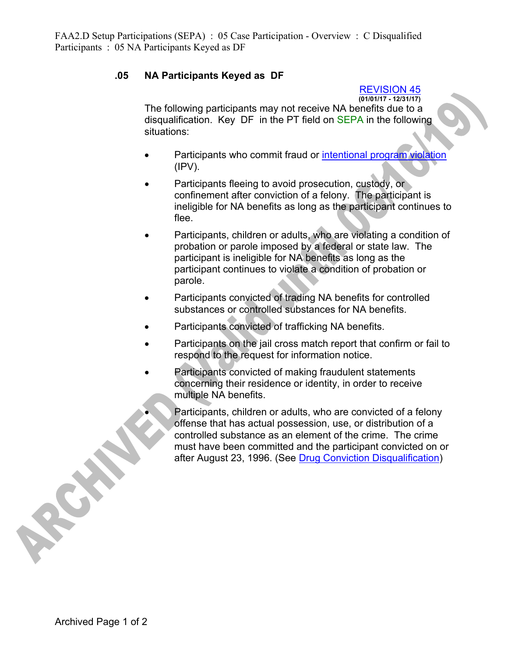## **.05 NA Participants Keyed as DF**

REVISION 45

**(01/01/17 - 12/31/17)**  The following participants may not receive NA benefits due to a disqualification. Key DF in the PT field on SEPA in the following situations:

- Participants who commit fraud or intentional program violation  $(IPV)$ .
- Participants fleeing to avoid prosecution, custody, or confinement after conviction of a felony. The participant is ineligible for NA benefits as long as the participant continues to flee.
- Participants, children or adults, who are violating a condition of probation or parole imposed by a federal or state law. The participant is ineligible for NA benefits as long as the participant continues to violate a condition of probation or parole.
- Participants convicted of trading NA benefits for controlled substances or controlled substances for NA benefits.
- Participants convicted of trafficking NA benefits.
- Participants on the jail cross match report that confirm or fail to respond to the request for information notice.
- Participants convicted of making fraudulent statements concerning their residence or identity, in order to receive multiple NA benefits.
	- Participants, children or adults, who are convicted of a felony offense that has actual possession, use, or distribution of a controlled substance as an element of the crime. The crime must have been committed and the participant convicted on or after August 23, 1996. (See Drug Conviction Disqualification)

RICH